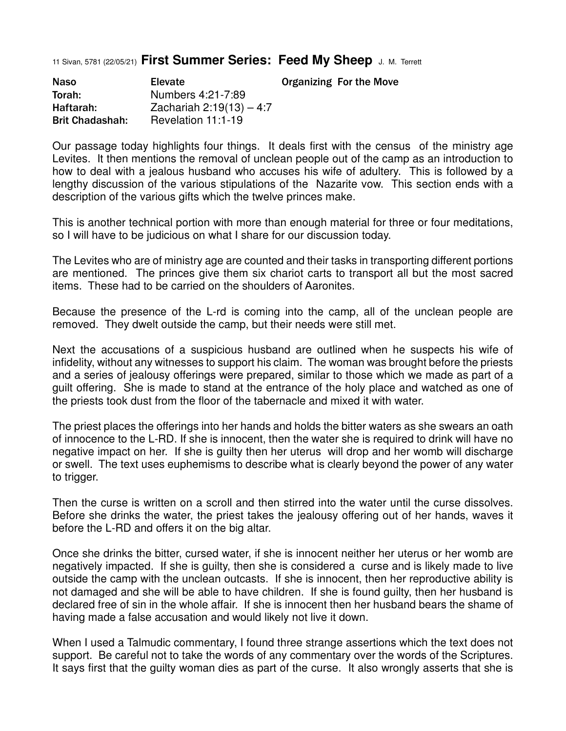11 Sivan, 5781 (22/05/21) **First Summer Series: Feed My Sheep** J. M. Terrett

Naso **Elevate Elevate Organizing For the Move** Torah: Numbers 4:21-7:89 Haftarah: Zachariah 2:19(13) – 4:7 Brit Chadashah: Revelation 11:1-19

Our passage today highlights four things. It deals first with the census of the ministry age Levites. It then mentions the removal of unclean people out of the camp as an introduction to how to deal with a jealous husband who accuses his wife of adultery. This is followed by a lengthy discussion of the various stipulations of the Nazarite vow. This section ends with a description of the various gifts which the twelve princes make.

This is another technical portion with more than enough material for three or four meditations, so I will have to be judicious on what I share for our discussion today.

The Levites who are of ministry age are counted and their tasks in transporting different portions are mentioned. The princes give them six chariot carts to transport all but the most sacred items. These had to be carried on the shoulders of Aaronites.

Because the presence of the L-rd is coming into the camp, all of the unclean people are removed. They dwelt outside the camp, but their needs were still met.

Next the accusations of a suspicious husband are outlined when he suspects his wife of infidelity, without any witnesses to support his claim. The woman was brought before the priests and a series of jealousy offerings were prepared, similar to those which we made as part of a guilt offering. She is made to stand at the entrance of the holy place and watched as one of the priests took dust from the floor of the tabernacle and mixed it with water.

The priest places the offerings into her hands and holds the bitter waters as she swears an oath of innocence to the L-RD. If she is innocent, then the water she is required to drink will have no negative impact on her. If she is guilty then her uterus will drop and her womb will discharge or swell. The text uses euphemisms to describe what is clearly beyond the power of any water to trigger.

Then the curse is written on a scroll and then stirred into the water until the curse dissolves. Before she drinks the water, the priest takes the jealousy offering out of her hands, waves it before the L-RD and offers it on the big altar.

Once she drinks the bitter, cursed water, if she is innocent neither her uterus or her womb are negatively impacted. If she is guilty, then she is considered a curse and is likely made to live outside the camp with the unclean outcasts. If she is innocent, then her reproductive ability is not damaged and she will be able to have children. If she is found guilty, then her husband is declared free of sin in the whole affair. If she is innocent then her husband bears the shame of having made a false accusation and would likely not live it down.

When I used a Talmudic commentary, I found three strange assertions which the text does not support. Be careful not to take the words of any commentary over the words of the Scriptures. It says first that the guilty woman dies as part of the curse. It also wrongly asserts that she is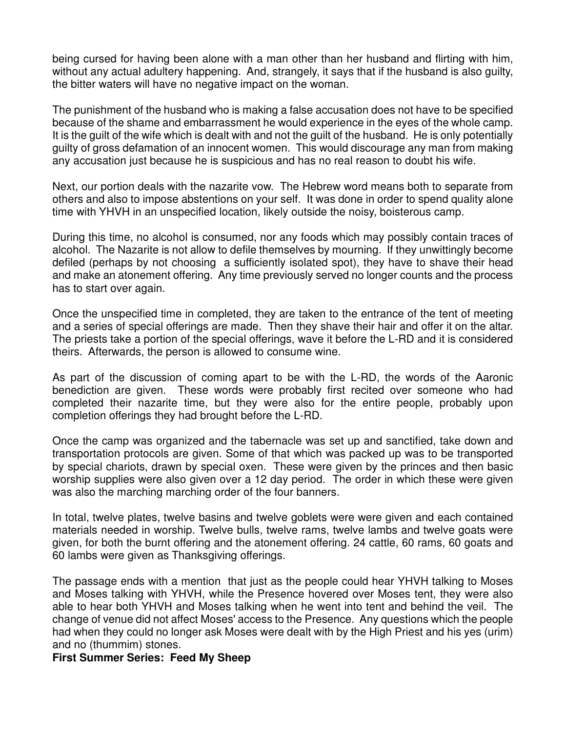being cursed for having been alone with a man other than her husband and flirting with him, without any actual adultery happening. And, strangely, it says that if the husband is also guilty, the bitter waters will have no negative impact on the woman.

The punishment of the husband who is making a false accusation does not have to be specified because of the shame and embarrassment he would experience in the eyes of the whole camp. It is the guilt of the wife which is dealt with and not the guilt of the husband. He is only potentially guilty of gross defamation of an innocent women. This would discourage any man from making any accusation just because he is suspicious and has no real reason to doubt his wife.

Next, our portion deals with the nazarite vow. The Hebrew word means both to separate from others and also to impose abstentions on your self. It was done in order to spend quality alone time with YHVH in an unspecified location, likely outside the noisy, boisterous camp.

During this time, no alcohol is consumed, nor any foods which may possibly contain traces of alcohol. The Nazarite is not allow to defile themselves by mourning. If they unwittingly become defiled (perhaps by not choosing a sufficiently isolated spot), they have to shave their head and make an atonement offering. Any time previously served no longer counts and the process has to start over again.

Once the unspecified time in completed, they are taken to the entrance of the tent of meeting and a series of special offerings are made. Then they shave their hair and offer it on the altar. The priests take a portion of the special offerings, wave it before the L-RD and it is considered theirs. Afterwards, the person is allowed to consume wine.

As part of the discussion of coming apart to be with the L-RD, the words of the Aaronic benediction are given. These words were probably first recited over someone who had completed their nazarite time, but they were also for the entire people, probably upon completion offerings they had brought before the L-RD.

Once the camp was organized and the tabernacle was set up and sanctified, take down and transportation protocols are given. Some of that which was packed up was to be transported by special chariots, drawn by special oxen. These were given by the princes and then basic worship supplies were also given over a 12 day period. The order in which these were given was also the marching marching order of the four banners.

In total, twelve plates, twelve basins and twelve goblets were were given and each contained materials needed in worship. Twelve bulls, twelve rams, twelve lambs and twelve goats were given, for both the burnt offering and the atonement offering. 24 cattle, 60 rams, 60 goats and 60 lambs were given as Thanksgiving offerings.

The passage ends with a mention that just as the people could hear YHVH talking to Moses and Moses talking with YHVH, while the Presence hovered over Moses tent, they were also able to hear both YHVH and Moses talking when he went into tent and behind the veil. The change of venue did not affect Moses' access to the Presence. Any questions which the people had when they could no longer ask Moses were dealt with by the High Priest and his yes (urim) and no (thummim) stones.

## **First Summer Series: Feed My Sheep**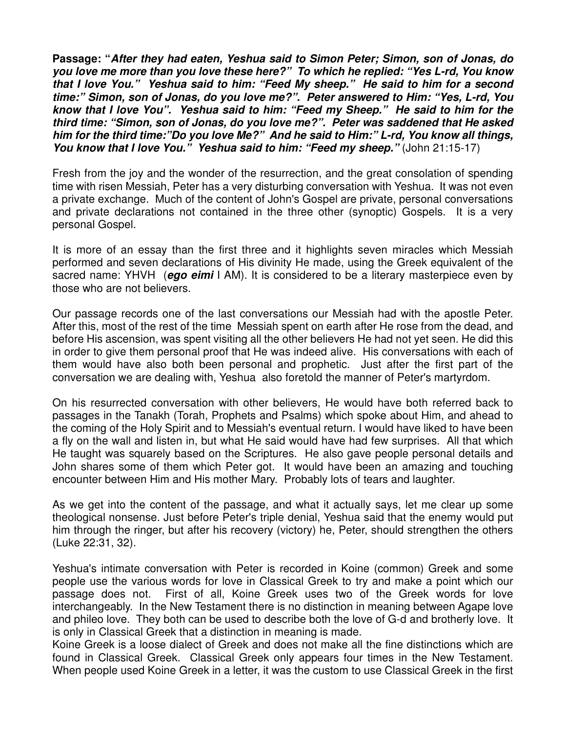**Passage: "***After they had eaten, Yeshua said to Simon Peter; Simon, son of Jonas, do you love me more than you love these here?" To which he replied: "Yes L-rd, You know that I love You." Yeshua said to him: "Feed My sheep." He said to him for a second time:" Simon, son of Jonas, do you love me?". Peter answered to Him: "Yes, L-rd, You know that I love You". Yeshua said to him: "Feed my Sheep." He said to him for the third time: "Simon, son of Jonas, do you love me?". Peter was saddened that He asked him for the third time:"Do you love Me?" And he said to Him:" L-rd, You know all things, You know that I love You." Yeshua said to him: "Feed my sheep."* (John 21:15-17)

Fresh from the joy and the wonder of the resurrection, and the great consolation of spending time with risen Messiah, Peter has a very disturbing conversation with Yeshua. It was not even a private exchange. Much of the content of John's Gospel are private, personal conversations and private declarations not contained in the three other (synoptic) Gospels. It is a very personal Gospel.

It is more of an essay than the first three and it highlights seven miracles which Messiah performed and seven declarations of His divinity He made, using the Greek equivalent of the sacred name: YHVH (*ego eimi* I AM). It is considered to be a literary masterpiece even by those who are not believers.

Our passage records one of the last conversations our Messiah had with the apostle Peter. After this, most of the rest of the time Messiah spent on earth after He rose from the dead, and before His ascension, was spent visiting all the other believers He had not yet seen. He did this in order to give them personal proof that He was indeed alive. His conversations with each of them would have also both been personal and prophetic. Just after the first part of the conversation we are dealing with, Yeshua also foretold the manner of Peter's martyrdom.

On his resurrected conversation with other believers, He would have both referred back to passages in the Tanakh (Torah, Prophets and Psalms) which spoke about Him, and ahead to the coming of the Holy Spirit and to Messiah's eventual return. I would have liked to have been a fly on the wall and listen in, but what He said would have had few surprises. All that which He taught was squarely based on the Scriptures. He also gave people personal details and John shares some of them which Peter got. It would have been an amazing and touching encounter between Him and His mother Mary. Probably lots of tears and laughter.

As we get into the content of the passage, and what it actually says, let me clear up some theological nonsense. Just before Peter's triple denial, Yeshua said that the enemy would put him through the ringer, but after his recovery (victory) he, Peter, should strengthen the others (Luke 22:31, 32).

Yeshua's intimate conversation with Peter is recorded in Koine (common) Greek and some people use the various words for love in Classical Greek to try and make a point which our passage does not. First of all, Koine Greek uses two of the Greek words for love interchangeably. In the New Testament there is no distinction in meaning between Agape love and phileo love. They both can be used to describe both the love of G-d and brotherly love. It is only in Classical Greek that a distinction in meaning is made.

Koine Greek is a loose dialect of Greek and does not make all the fine distinctions which are found in Classical Greek. Classical Greek only appears four times in the New Testament. When people used Koine Greek in a letter, it was the custom to use Classical Greek in the first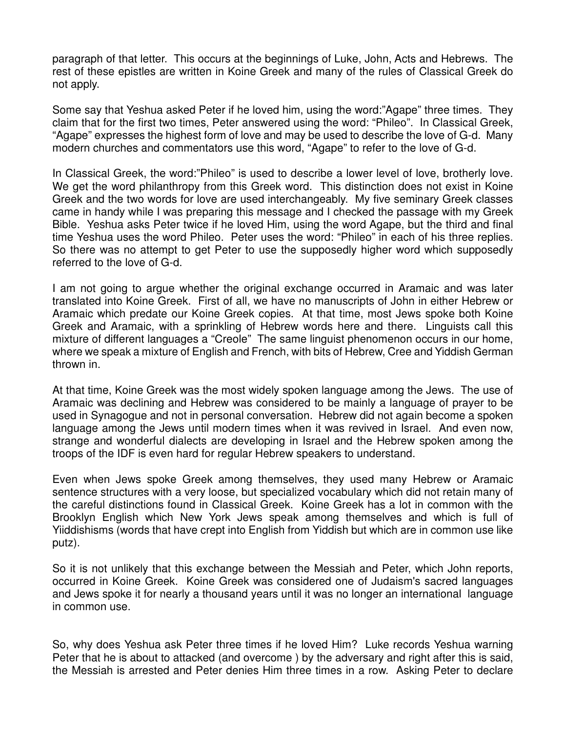paragraph of that letter. This occurs at the beginnings of Luke, John, Acts and Hebrews. The rest of these epistles are written in Koine Greek and many of the rules of Classical Greek do not apply.

Some say that Yeshua asked Peter if he loved him, using the word:"Agape" three times. They claim that for the first two times, Peter answered using the word: "Phileo". In Classical Greek, "Agape" expresses the highest form of love and may be used to describe the love of G-d. Many modern churches and commentators use this word, "Agape" to refer to the love of G-d.

In Classical Greek, the word:"Phileo" is used to describe a lower level of love, brotherly love. We get the word philanthropy from this Greek word. This distinction does not exist in Koine Greek and the two words for love are used interchangeably. My five seminary Greek classes came in handy while I was preparing this message and I checked the passage with my Greek Bible. Yeshua asks Peter twice if he loved Him, using the word Agape, but the third and final time Yeshua uses the word Phileo. Peter uses the word: "Phileo" in each of his three replies. So there was no attempt to get Peter to use the supposedly higher word which supposedly referred to the love of G-d.

I am not going to argue whether the original exchange occurred in Aramaic and was later translated into Koine Greek. First of all, we have no manuscripts of John in either Hebrew or Aramaic which predate our Koine Greek copies. At that time, most Jews spoke both Koine Greek and Aramaic, with a sprinkling of Hebrew words here and there. Linguists call this mixture of different languages a "Creole" The same linguist phenomenon occurs in our home, where we speak a mixture of English and French, with bits of Hebrew, Cree and Yiddish German thrown in.

At that time, Koine Greek was the most widely spoken language among the Jews. The use of Aramaic was declining and Hebrew was considered to be mainly a language of prayer to be used in Synagogue and not in personal conversation. Hebrew did not again become a spoken language among the Jews until modern times when it was revived in Israel. And even now, strange and wonderful dialects are developing in Israel and the Hebrew spoken among the troops of the IDF is even hard for regular Hebrew speakers to understand.

Even when Jews spoke Greek among themselves, they used many Hebrew or Aramaic sentence structures with a very loose, but specialized vocabulary which did not retain many of the careful distinctions found in Classical Greek. Koine Greek has a lot in common with the Brooklyn English which New York Jews speak among themselves and which is full of Yiiddishisms (words that have crept into English from Yiddish but which are in common use like putz).

So it is not unlikely that this exchange between the Messiah and Peter, which John reports, occurred in Koine Greek. Koine Greek was considered one of Judaism's sacred languages and Jews spoke it for nearly a thousand years until it was no longer an international language in common use.

So, why does Yeshua ask Peter three times if he loved Him? Luke records Yeshua warning Peter that he is about to attacked (and overcome ) by the adversary and right after this is said, the Messiah is arrested and Peter denies Him three times in a row. Asking Peter to declare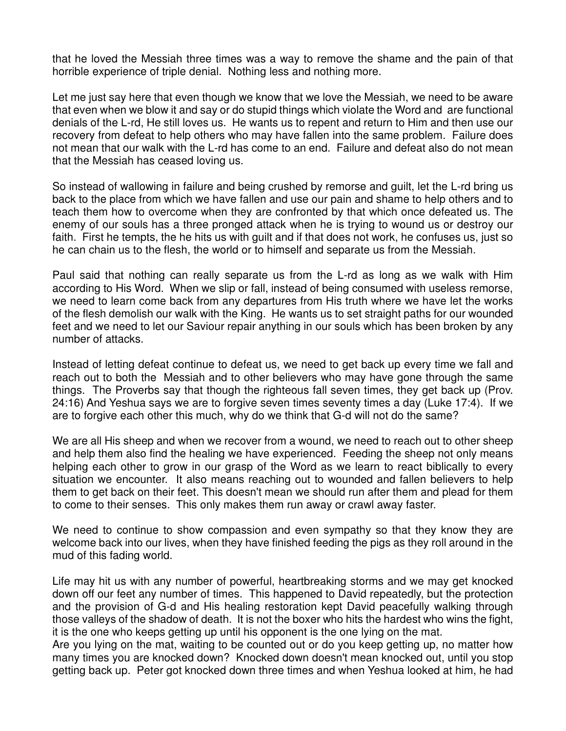that he loved the Messiah three times was a way to remove the shame and the pain of that horrible experience of triple denial. Nothing less and nothing more.

Let me just say here that even though we know that we love the Messiah, we need to be aware that even when we blow it and say or do stupid things which violate the Word and are functional denials of the L-rd, He still loves us. He wants us to repent and return to Him and then use our recovery from defeat to help others who may have fallen into the same problem. Failure does not mean that our walk with the L-rd has come to an end. Failure and defeat also do not mean that the Messiah has ceased loving us.

So instead of wallowing in failure and being crushed by remorse and guilt, let the L-rd bring us back to the place from which we have fallen and use our pain and shame to help others and to teach them how to overcome when they are confronted by that which once defeated us. The enemy of our souls has a three pronged attack when he is trying to wound us or destroy our faith. First he tempts, the he hits us with guilt and if that does not work, he confuses us, just so he can chain us to the flesh, the world or to himself and separate us from the Messiah.

Paul said that nothing can really separate us from the L-rd as long as we walk with Him according to His Word. When we slip or fall, instead of being consumed with useless remorse, we need to learn come back from any departures from His truth where we have let the works of the flesh demolish our walk with the King. He wants us to set straight paths for our wounded feet and we need to let our Saviour repair anything in our souls which has been broken by any number of attacks.

Instead of letting defeat continue to defeat us, we need to get back up every time we fall and reach out to both the Messiah and to other believers who may have gone through the same things. The Proverbs say that though the righteous fall seven times, they get back up (Prov. 24:16) And Yeshua says we are to forgive seven times seventy times a day (Luke 17:4). If we are to forgive each other this much, why do we think that G-d will not do the same?

We are all His sheep and when we recover from a wound, we need to reach out to other sheep and help them also find the healing we have experienced. Feeding the sheep not only means helping each other to grow in our grasp of the Word as we learn to react biblically to every situation we encounter. It also means reaching out to wounded and fallen believers to help them to get back on their feet. This doesn't mean we should run after them and plead for them to come to their senses. This only makes them run away or crawl away faster.

We need to continue to show compassion and even sympathy so that they know they are welcome back into our lives, when they have finished feeding the pigs as they roll around in the mud of this fading world.

Life may hit us with any number of powerful, heartbreaking storms and we may get knocked down off our feet any number of times. This happened to David repeatedly, but the protection and the provision of G-d and His healing restoration kept David peacefully walking through those valleys of the shadow of death. It is not the boxer who hits the hardest who wins the fight, it is the one who keeps getting up until his opponent is the one lying on the mat.

Are you lying on the mat, waiting to be counted out or do you keep getting up, no matter how many times you are knocked down? Knocked down doesn't mean knocked out, until you stop getting back up. Peter got knocked down three times and when Yeshua looked at him, he had